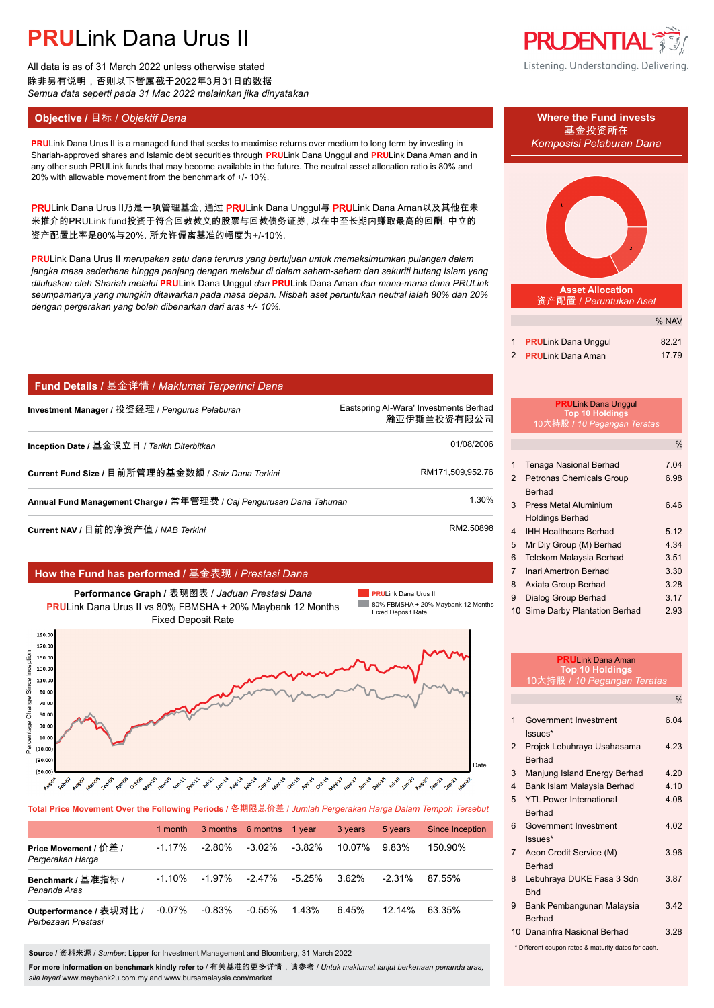All data is as of 31 March 2022 unless otherwise stated 除非另有说明,否则以下皆属截于2022年3月31日的数据 *Semua data seperti pada 31 Mac 2022 melainkan jika dinyatakan*

## **Objective /** 目标 / *Objektif Dana* **Where the Fund invests**

**PRU**Link Dana Urus II is a managed fund that seeks to maximise returns over medium to long term by investing in *Komposisi Pelaburan Dana* Shariah-approved shares and Islamic debt securities through **PRU**Link Dana Unggul and **PRU**Link Dana Aman and in any other such PRULink funds that may become available in the future. The neutral asset allocation ratio is 80% and 20% with allowable movement from the benchmark of +/- 10%.

PRULink Dana Urus II乃是一项管理基金, 通过 PRULink Dana Unggul与 PRULink Dana Aman以及其他在未 来推介的PRULink fund投资于符合回教教义的股票与回教债务证券, 以在中至长期内赚取最高的回酬. 中立的 资产配置比率是80%与20%, 所允许偏离基准的幅度为+/-10%.

**PRU**Link Dana Urus II *merupakan satu dana terurus yang bertujuan untuk memaksimumkan pulangan dalam jangka masa sederhana hingga panjang dengan melabur di dalam saham-saham dan sekuriti hutang Islam yang diluluskan oleh Shariah melalui* **PRU**Link Dana Unggul *dan* **PRU**Link Dana Aman *dan mana-mana dana PRULink seumpamanya yang mungkin ditawarkan pada masa depan. Nisbah aset peruntukan neutral ialah 80% dan 20% dengan pergerakan yang boleh dibenarkan dari aras +/- 10%.*

## **Fund Details /** 基金详情 / *Maklumat Terperinci Dana*

**Investment Manager /** 投资经理 / *Pengurus Pelaburan* Eastspring Al-Wara' Investments Berhad.

**Inception Date /** 基金设立日 / *Tarikh Diterbitkan* 01/08/2006.

**Current Fund Size / 目前所管理的基金数额 / Saiz Dana Terkini RM171,509,952.76. RM171,509,952.76** 

**Annual Fund Management Charge /** 常年管理费 / *Caj Pengurusan Dana Tahunan* 1.30%.

**Current NAV /** 目前的净资产值 / *NAB Terkini* RM2.50898.

## **How the Fund has performed /** 基金表现 / *Prestasi Dana*



**Total Price Movement Over the Following Periods /** 各期限总价差 / *Jumlah Pergerakan Harga Dalam Tempoh Tersebut*

|                                               | 1 month   |           | 3 months 6 months | 1 year   | 3 years | 5 years   | Since Inception |
|-----------------------------------------------|-----------|-----------|-------------------|----------|---------|-----------|-----------------|
| Price Movement / 价差 /<br>Pergerakan Harga     | $-1.17\%$ | -2.80%    | $-3.02\%$         | $-3.82%$ | 10.07%  | 9.83%     | 150.90%         |
| Benchmark / 基准指标 /<br>Penanda Aras            | $-1.10\%$ | -1.97%    | $-2.47\%$         | -5.25%   | 3.62%   | $-2.31\%$ | 87.55%          |
| Outperformance / 表现对比 /<br>Perbezaan Prestasi | $-0.07\%$ | $-0.83\%$ | $-0.55%$          | 1 43%    | 6.45%   | $12.14\%$ | 63.35%          |

**Source /** 资料来源 / *Sumber*: Lipper for Investment Management and Bloomberg, 31 March 2022

**For more information on benchmark kindly refer to** / 有关基准的更多详情,请参考 / *Untuk maklumat lanjut berkenaan penanda aras, sila layari* www.maybank2u.com.my and www.bursamalaysia.com/market



Listening. Understanding. Delivering.





**Asset Allocation** 资产配置 / *Peruntukan Aset*

|                            | % NAV |
|----------------------------|-------|
| 1 PRULink Dana Unggul      | 82.21 |
| 2 <b>PRULink Dana Aman</b> | 17.79 |

|   | <b>Top 10 Holdings</b><br>10大持股 / 10 Pegangan Teratas |               |
|---|-------------------------------------------------------|---------------|
|   |                                                       | $\frac{0}{6}$ |
| 1 | Tenaga Nasional Berhad                                | 7.04          |
| 2 | Petronas Chemicals Group                              | 6.98          |
|   | <b>Berhad</b>                                         |               |
| 3 | Press Metal Aluminium                                 | ճ 46          |
|   | <b>Holdings Berhad</b>                                |               |

%

**PRU**Link Dana Unggul

瀚亚伊斯兰投资有限公司.

| <b>IHH Healthcare Berhad</b> | 5.12 |
|------------------------------|------|
| 5 Mr Div Group (M) Berhad    | 4.34 |

| .                         |      |
|---------------------------|------|
| 6 Telekom Malaysia Berhad | 3.51 |

- 7 Inari Amertron Berhad 3.30
- 8 Axiata Group Berhad 3.28
- 9 Dialog Group Berhad 3.17
- 10 Sime Darby Plantation Berhad 2.93

|                                                     | <b>PRUI</b> ink Dana Aman<br><b>Top 10 Holdings</b> |               |  |
|-----------------------------------------------------|-----------------------------------------------------|---------------|--|
|                                                     | 10大持股 / 10 Pegangan Teratas                         |               |  |
|                                                     |                                                     | $\frac{0}{0}$ |  |
| 1                                                   | Government Investment                               | 6.04          |  |
|                                                     | $lssues*$                                           |               |  |
| 2                                                   | Projek Lebuhraya Usahasama                          | 4 23          |  |
|                                                     | <b>Rerhad</b>                                       |               |  |
| 3                                                   | Manjung Island Energy Berhad                        | 4 2 0         |  |
| $\overline{\mathbf{4}}$                             | Bank Islam Malaysia Berhad                          | 410           |  |
| 5                                                   | <b>YTI Power International</b>                      | 4.08          |  |
|                                                     | <b>Berhad</b>                                       |               |  |
| 6                                                   | Government Investment                               | 4.02          |  |
|                                                     | Issues*                                             |               |  |
| $\overline{7}$                                      | Aeon Credit Service (M)                             | 3.96          |  |
|                                                     | <b>Berhad</b>                                       |               |  |
| 8                                                   | Lebuhraya DUKE Fasa 3 Sdn                           | 3.87          |  |
|                                                     | <b>Bhd</b>                                          |               |  |
| 9                                                   | Bank Pembangunan Malaysia                           | 342           |  |
|                                                     | <b>Berhad</b>                                       |               |  |
|                                                     | 10 Danainfra Nasional Berhad                        | 3.28          |  |
| * Different coupon rates & maturity dates for each. |                                                     |               |  |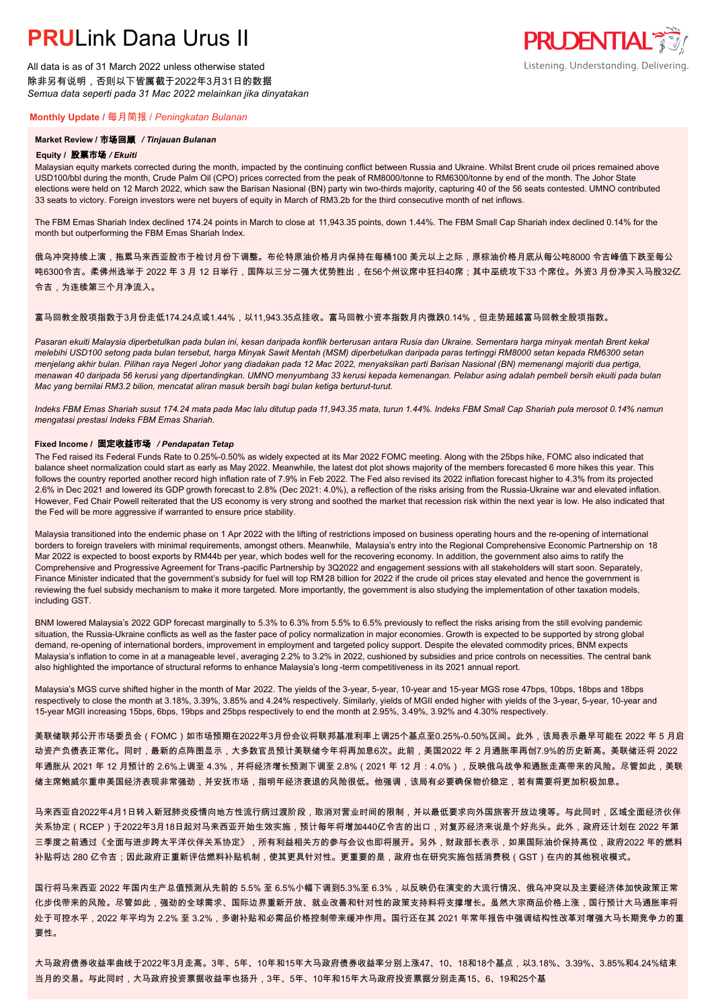All data is as of 31 March 2022 unless otherwise stated 除非另有说明,否则以下皆属截于2022年3月31日的数据 *Semua data seperti pada 31 Mac 2022 melainkan jika dinyatakan*

### **Monthly Update /** 每月简报 / *Peningkatan Bulanan*

### **Market Review /** 市场回顾 */ Tinjauan Bulanan*

#### **Equity /** 股票市场 */ Ekuiti.*

Malaysian equity markets corrected during the month, impacted by the continuing conflict between Russia and Ukraine. Whilst Brent crude oil prices remained above USD100/bbl during the month, Crude Palm Oil (CPO) prices corrected from the peak of RM8000/tonne to RM6300/tonne by end of the month. The Johor State elections were held on 12 March 2022, which saw the Barisan Nasional (BN) party win two-thirds majority, capturing 40 of the 56 seats contested. UMNO contributed 33 seats to victory. Foreign investors were net buyers of equity in March of RM3.2b for the third consecutive month of net inflows.

The FBM Emas Shariah Index declined 174.24 points in March to close at 11,943.35 points, down 1.44%. The FBM Small Cap Shariah index declined 0.14% for the month but outperforming the FBM Emas Shariah Index.

俄乌冲突持续上演,拖累马来西亚股市于检讨月份下调整。布伦特原油价格月内保持在每桶100 美元以上之际,原棕油价格月底从每公吨8000 令吉峰值下跌至每公 吨6300令吉。柔佛州选举于 2022 年 3 月 12 日举行,国阵以三分二强大优势胜出,在56个州议席中狂扫40席;其中巫统攻下33 个席位。外资3 月份净买入马股32亿 令吉,为连续第三个月净流入。

### 富马回教全股项指数于3月份走低174.24点或1.44%,以11,943.35点挂收。富马回教小资本指数月内微跌0.14%,但走势超越富马回教全股项指数。

*Pasaran ekuiti Malaysia diperbetulkan pada bulan ini, kesan daripada konflik berterusan antara Rusia dan Ukraine. Sementara harga minyak mentah Brent kekal melebihi USD100 setong pada bulan tersebut, harga Minyak Sawit Mentah (MSM) diperbetulkan daripada paras tertinggi RM8000 setan kepada RM6300 setan menjelang akhir bulan. Pilihan raya Negeri Johor yang diadakan pada 12 Mac 2022, menyaksikan parti Barisan Nasional (BN) memenangi majoriti dua pertiga, menawan 40 daripada 56 kerusi yang dipertandingkan. UMNO menyumbang 33 kerusi kepada kemenangan. Pelabur asing adalah pembeli bersih ekuiti pada bulan Mac yang bernilai RM3.2 bilion, mencatat aliran masuk bersih bagi bulan ketiga berturut-turut.*

*Indeks FBM Emas Shariah susut 174.24 mata pada Mac lalu ditutup pada 11,943.35 mata, turun 1.44%. Indeks FBM Small Cap Shariah pula merosot 0.14% namun mengatasi prestasi Indeks FBM Emas Shariah.*

#### **Fixed Income /** 固定收益市场 */ Pendapatan Tetap*

*.* The Fed raised its Federal Funds Rate to 0.25%-0.50% as widely expected at its Mar 2022 FOMC meeting. Along with the 25bps hike, FOMC also indicated that balance sheet normalization could start as early as May 2022. Meanwhile, the latest dot plot shows majority of the members forecasted 6 more hikes this year. This follows the country reported another record high inflation rate of 7.9% in Feb 2022. The Fed also revised its 2022 inflation forecast higher to 4.3% from its projected 2.6% in Dec 2021 and lowered its GDP growth forecast to 2.8% (Dec 2021: 4.0%), a reflection of the risks arising from the Russia-Ukraine war and elevated inflation. However, Fed Chair Powell reiterated that the US economy is very strong and soothed the market that recession risk within the next year is low. He also indicated that the Fed will be more aggressive if warranted to ensure price stability.

Malaysia transitioned into the endemic phase on 1 Apr 2022 with the lifting of restrictions imposed on business operating hours and the re-opening of international borders to foreign travelers with minimal requirements, amongst others, Meanwhile, Malaysia's entry into the Regional Comprehensive Economic Partnership on 18 Mar 2022 is expected to boost exports by RM44b per year, which bodes well for the recovering economy. In addition, the government also aims to ratify the Comprehensive and Progressive Agreement for Trans-pacific Partnership by 3Q2022 and engagement sessions with all stakeholders will start soon. Separately, Finance Minister indicated that the government's subsidy for fuel will top RM 28 billion for 2022 if the crude oil prices stay elevated and hence the government is reviewing the fuel subsidy mechanism to make it more targeted. More importantly, the government is also studying the implementation of other taxation models, including GST.

BNM lowered Malaysia's 2022 GDP forecast marginally to 5.3% to 6.3% from 5.5% to 6.5% previously to reflect the risks arising from the still evolving pandemic situation, the Russia-Ukraine conflicts as well as the faster pace of policy normalization in major economies. Growth is expected to be supported by strong global demand, re-opening of international borders, improvement in employment and targeted policy support. Despite the elevated commodity prices, BNM expects Malaysia's inflation to come in at a manageable level, averaging 2.2% to 3.2% in 2022, cushioned by subsidies and price controls on necessities. The central bank also highlighted the importance of structural reforms to enhance Malaysia's long -term competitiveness in its 2021 annual report.

Malaysia's MGS curve shifted higher in the month of Mar 2022. The yields of the 3-year, 5-year, 10-year and 15-year MGS rose 47bps, 10bps, 18bps and 18bps respectively to close the month at 3.18%, 3.39%, 3.85% and 4.24% respectively. Similarly, yields of MGII ended higher with yields of the 3-year, 5-year, 10-year and 15-year MGII increasing 15bps, 6bps, 19bps and 25bps respectively to end the month at 2.95%, 3.49%, 3.92% and 4.30% respectively.

美联储联邦公开市场委员会(FOMC)如市场预期在2022年3月份会议将联邦基准利率上调25个基点至0.25%-0.50%区间。此外,该局表示最早可能在 2022 年 5 月启 动资产负债表正常化。同时,最新的点阵图显示,大多数官员预计美联储今年将再加息6次。此前,美国2022 年 2 月通胀率再创7.9%的历史新高。美联储还将 2022 年通胀从 2021 年 12 月预计的 2.6%上调至 4.3%,并将经济增长预测下调至 2.8%(2021 年 12 月:4.0%),反映俄乌战争和通胀走高带来的风险。尽管如此,美联 储主席鲍威尔重申美国经济表现非常强劲,并安抚市场,指明年经济衰退的风险很低。他强调,该局有必要确保物价稳定,若有需要将更加积极加息。

马来西亚自2022年4月1日转入新冠肺炎疫情向地方性流行病过渡阶段,取消对营业时间的限制,并以最低要求向外国旅客开放边境等。与此同时,区域全面经济伙伴 关系协定(RCEP)于2022年3月18日起对马来西亚开始生效实施,预计每年将增加440亿令吉的出口,对复苏经济来说是个好兆头。此外,政府还计划在 2022 年第 三季度之前通过《全面与进步跨太平洋伙伴关系协定》,所有利益相关方的参与会议也即将展开。另外,财政部长表示,如果国际油价保持高位,政府2022 年的燃料 补贴将达 280 亿令吉;因此政府正重新评估燃料补贴机制,使其更具针对性。更重要的是,政府也在研究实施包括消费税(GST)在内的其他税收模式。

国行将马来西亚 2022 年国内生产总值预测从先前的 5.5% 至 6.5%小幅下调到5.3%至 6.3%,以反映仍在演变的大流行情况、俄乌冲突以及主要经济体加快政策正常 化步伐带来的风险。尽管如此,强劲的全球需求、国际边界重新开放、就业改善和针对性的政策支持料将支撑增长。虽然大宗商品价格上涨,国行预计大马通胀率将 处于可控水平,2022 年平均为 2.2% 至 3.2%,多谢补贴和必需品价格控制带来缓冲作用。国行还在其 2021 年常年报告中强调结构性改革对增强大马长期竞争力的重 要性。

大马政府债券收益率曲线于2022年3月走高。3年、5年、10年和15年大马政府债券收益率分别上涨47、10、18和18个基点,以3.18%、3.39%、3.85%和4.24%结束 当月的交易。与此同时,大马政府投资票据收益率也扬升,3年、5年、10年和15年大马政府投资票据分别走高15、6、19和25个基

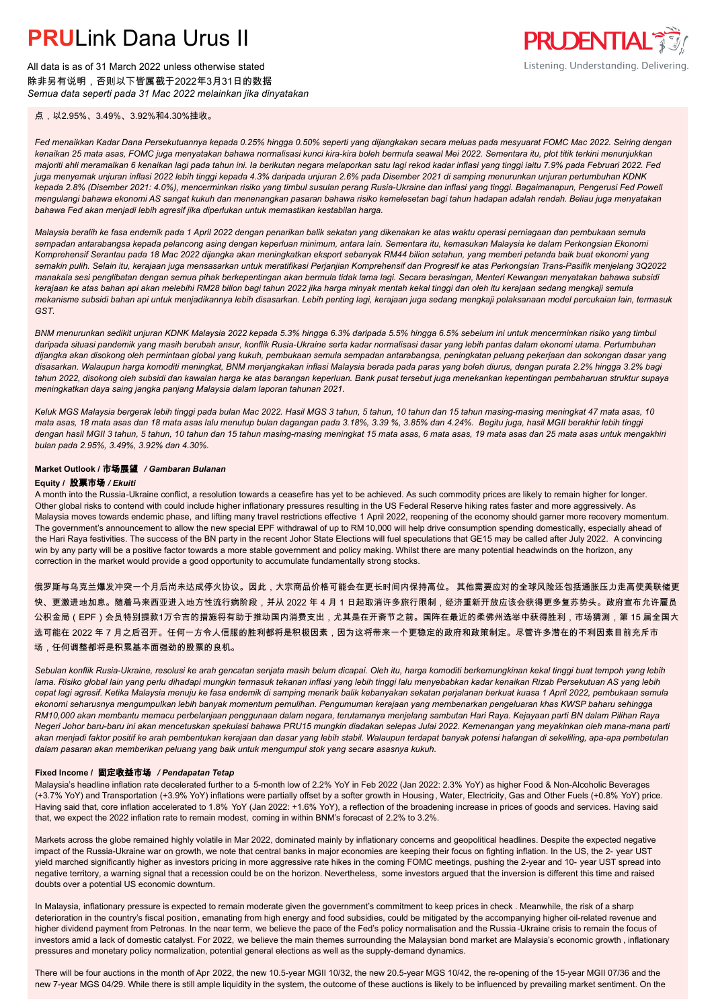All data is as of 31 March 2022 unless otherwise stated 除非另有说明,否则以下皆属截于2022年3月31日的数据 *Semua data seperti pada 31 Mac 2022 melainkan jika dinyatakan*

点,以2.95%、3.49%、3.92%和4.30%挂收。

*Fed menaikkan Kadar Dana Persekutuannya kepada 0.25% hingga 0.50% seperti yang dijangkakan secara meluas pada mesyuarat FOMC Mac 2022. Seiring dengan kenaikan 25 mata asas, FOMC juga menyatakan bahawa normalisasi kunci kira-kira boleh bermula seawal Mei 2022. Sementara itu, plot titik terkini menunjukkan majoriti ahli meramalkan 6 kenaikan lagi pada tahun ini. Ia berikutan negara melaporkan satu lagi rekod kadar inflasi yang tinggi iaitu 7.9% pada Februari 2022. Fed juga menyemak unjuran inflasi 2022 lebih tinggi kepada 4.3% daripada unjuran 2.6% pada Disember 2021 di samping menurunkan unjuran pertumbuhan KDNK kepada 2.8% (Disember 2021: 4.0%), mencerminkan risiko yang timbul susulan perang Rusia-Ukraine dan inflasi yang tinggi. Bagaimanapun, Pengerusi Fed Powell mengulangi bahawa ekonomi AS sangat kukuh dan menenangkan pasaran bahawa risiko kemelesetan bagi tahun hadapan adalah rendah. Beliau juga menyatakan bahawa Fed akan menjadi lebih agresif jika diperlukan untuk memastikan kestabilan harga.*

*Malaysia beralih ke fasa endemik pada 1 April 2022 dengan penarikan balik sekatan yang dikenakan ke atas waktu operasi perniagaan dan pembukaan semula sempadan antarabangsa kepada pelancong asing dengan keperluan minimum, antara lain. Sementara itu, kemasukan Malaysia ke dalam Perkongsian Ekonomi Komprehensif Serantau pada 18 Mac 2022 dijangka akan meningkatkan eksport sebanyak RM44 bilion setahun, yang memberi petanda baik buat ekonomi yang semakin pulih. Selain itu, kerajaan juga mensasarkan untuk meratifikasi Perjanjian Komprehensif dan Progresif ke atas Perkongsian Trans-Pasifik menjelang 3Q2022 manakala sesi penglibatan dengan semua pihak berkepentingan akan bermula tidak lama lagi. Secara berasingan, Menteri Kewangan menyatakan bahawa subsidi kerajaan ke atas bahan api akan melebihi RM28 bilion bagi tahun 2022 jika harga minyak mentah kekal tinggi dan oleh itu kerajaan sedang mengkaji semula mekanisme subsidi bahan api untuk menjadikannya lebih disasarkan. Lebih penting lagi, kerajaan juga sedang mengkaji pelaksanaan model percukaian lain, termasuk GST.*

*BNM menurunkan sedikit unjuran KDNK Malaysia 2022 kepada 5.3% hingga 6.3% daripada 5.5% hingga 6.5% sebelum ini untuk mencerminkan risiko yang timbul daripada situasi pandemik yang masih berubah ansur, konflik Rusia-Ukraine serta kadar normalisasi dasar yang lebih pantas dalam ekonomi utama. Pertumbuhan dijangka akan disokong oleh permintaan global yang kukuh, pembukaan semula sempadan antarabangsa, peningkatan peluang pekerjaan dan sokongan dasar yang disasarkan. Walaupun harga komoditi meningkat, BNM menjangkakan inflasi Malaysia berada pada paras yang boleh diurus, dengan purata 2.2% hingga 3.2% bagi tahun 2022, disokong oleh subsidi dan kawalan harga ke atas barangan keperluan. Bank pusat tersebut juga menekankan kepentingan pembaharuan struktur supaya meningkatkan daya saing jangka panjang Malaysia dalam laporan tahunan 2021.*

*Keluk MGS Malaysia bergerak lebih tinggi pada bulan Mac 2022. Hasil MGS 3 tahun, 5 tahun, 10 tahun dan 15 tahun masing-masing meningkat 47 mata asas, 10 mata asas, 18 mata asas dan 18 mata asas lalu menutup bulan dagangan pada 3.18%, 3.39 %, 3.85% dan 4.24%. Begitu juga, hasil MGII berakhir lebih tinggi dengan hasil MGII 3 tahun, 5 tahun, 10 tahun dan 15 tahun masing-masing meningkat 15 mata asas, 6 mata asas, 19 mata asas dan 25 mata asas untuk mengakhiri bulan pada 2.95%, 3.49%, 3.92% dan 4.30%.*

## **Market Outlook /** 市场展望 */ Gambaran Bulanan*

#### **Equity /** 股票市场 */ Ekuiti .*

A month into the Russia-Ukraine conflict, a resolution towards a ceasefire has yet to be achieved. As such commodity prices are likely to remain higher for longer. Other global risks to contend with could include higher inflationary pressures resulting in the US Federal Reserve hiking rates faster and more aggressively. As Malaysia moves towards endemic phase, and lifting many travel restrictions effective 1 April 2022, reopening of the economy should garner more recovery momentum. The government's announcement to allow the new special EPF withdrawal of up to RM 10,000 will help drive consumption spending domestically, especially ahead of the Hari Raya festivities. The success of the BN party in the recent Johor State Elections will fuel speculations that GE15 may be called after July 2022. A convincing win by any party will be a positive factor towards a more stable government and policy making. Whilst there are many potential headwinds on the horizon, any correction in the market would provide a good opportunity to accumulate fundamentally strong stocks.

俄罗斯与乌克兰爆发冲突一个月后尚未达成停火协议。因此,大宗商品价格可能会在更长时间内保持高位。 其他需要应对的全球风险还包括通胀压力走高使美联储更 快、更激进地加息。随着马来西亚进入地方性流行病阶段,并从 2022 年 4 月 1 日起取消许多旅行限制,经济重新开放应该会获得更多复苏势头。政府宣布允许雇员 公积金局(EPF)会员特别提款1万令吉的措施将有助于推动国内消费支出,尤其是在开斋节之前。国阵在最近的柔佛州选举中获得胜利,市场猜测,第 15 届全国大 选可能在 2022 年 7 月之后召开。任何一方令人信服的胜利都将是积极因素,因为这将带来一个更稳定的政府和政策制定。尽管许多潜在的不利因素目前充斥市 场,任何调整都将是积累基本面强劲的股票的良机。

*Sebulan konflik Rusia-Ukraine, resolusi ke arah gencatan senjata masih belum dicapai. Oleh itu, harga komoditi berkemungkinan kekal tinggi buat tempoh yang lebih lama. Risiko global lain yang perlu dihadapi mungkin termasuk tekanan inflasi yang lebih tinggi lalu menyebabkan kadar kenaikan Rizab Persekutuan AS yang lebih cepat lagi agresif. Ketika Malaysia menuju ke fasa endemik di samping menarik balik kebanyakan sekatan perjalanan berkuat kuasa 1 April 2022, pembukaan semula ekonomi seharusnya mengumpulkan lebih banyak momentum pemulihan. Pengumuman kerajaan yang membenarkan pengeluaran khas KWSP baharu sehingga RM10,000 akan membantu memacu perbelanjaan penggunaan dalam negara, terutamanya menjelang sambutan Hari Raya. Kejayaan parti BN dalam Pilihan Raya Negeri Johor baru-baru ini akan mencetuskan spekulasi bahawa PRU15 mungkin diadakan selepas Julai 2022. Kemenangan yang meyakinkan oleh mana-mana parti akan menjadi faktor positif ke arah pembentukan kerajaan dan dasar yang lebih stabil. Walaupun terdapat banyak potensi halangan di sekeliling, apa-apa pembetulan dalam pasaran akan memberikan peluang yang baik untuk mengumpul stok yang secara asasnya kukuh.*

#### **Fixed Income /** 固定收益市场 */ Pendapatan Tetap*

Malaysia's headline inflation rate decelerated further to a 5-month low of 2.2% YoY in Feb 2022 (Jan 2022: 2.3% YoY) as higher Food & Non-Alcoholic Beverages (+3.7% YoY) and Transportation (+3.9% YoY) inflations were partially offset by a softer growth in Housing , Water, Electricity, Gas and Other Fuels (+0.8% YoY) price. Having said that, core inflation accelerated to 1.8% YoY (Jan 2022: +1.6% YoY), a reflection of the broadening increase in prices of goods and services. Having said that, we expect the 2022 inflation rate to remain modest, coming in within BNM's forecast of 2.2% to 3.2%.

Markets across the globe remained highly volatile in Mar 2022, dominated mainly by inflationary concerns and geopolitical headlines. Despite the expected negative impact of the Russia-Ukraine war on growth, we note that central banks in major economies are keeping their focus on fighting inflation. In the US, the 2- year UST yield marched significantly higher as investors pricing in more aggressive rate hikes in the coming FOMC meetings, pushing the 2-year and 10- year UST spread into negative territory, a warning signal that a recession could be on the horizon. Nevertheless, some investors argued that the inversion is different this time and raised doubts over a potential US economic downturn.

In Malaysia, inflationary pressure is expected to remain moderate given the government's commitment to keep prices in check . Meanwhile, the risk of a sharp deterioration in the country's fiscal position, emanating from high energy and food subsidies, could be mitigated by the accompanying higher oil-related revenue and higher dividend payment from Petronas. In the near term, we believe the pace of the Fed's policy normalisation and the Russia-Ukraine crisis to remain the focus of investors amid a lack of domestic catalyst. For 2022, we believe the main themes surrounding the Malaysian bond market are Malaysia's economic growth, inflationary pressures and monetary policy normalization, potential general elections as well as the supply-demand dynamics.

There will be four auctions in the month of Apr 2022, the new 10.5-year MGII 10/32, the new 20.5-year MGS 10/42, the re-opening of the 15-year MGII 07/36 and the new 7-year MGS 04/29. While there is still ample liquidity in the system, the outcome of these auctions is likely to be influenced by prevailing market sentiment. On the

**PRUDENTIAL 35** Listening. Understanding. Delivering.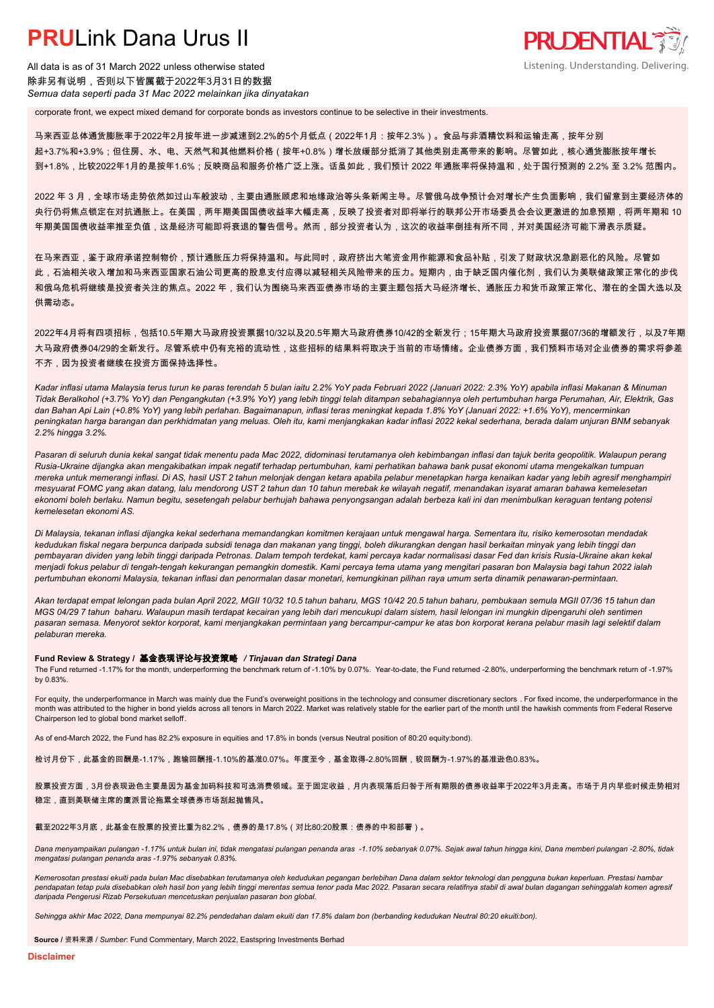All data is as of 31 March 2022 unless otherwise stated 除非另有说明,否则以下皆属截于2022年3月31日的数据 *Semua data seperti pada 31 Mac 2022 melainkan jika dinyatakan*

corporate front, we expect mixed demand for corporate bonds as investors continue to be selective in their investments.

马来西亚总体通货膨胀率于2022年2月按年进一步减速到2.2%的5个月低点(2022年1月:按年2.3%)。食品与非酒精饮料和运输走高,按年分别 起+3.7%和+3.9%;但住房、水、电、天然气和其他燃料价格(按年+0.8%)增长放缓部分抵消了其他类别走高带来的影响。尽管如此,核心通货膨胀按年增长 到+1.8%,比较2022年1月的是按年1.6%;反映商品和服务价格广泛上涨。话虽如此,我们预计 2022 年通胀率将保持温和,处于国行预测的 2.2% 至 3.2% 范围内。

**PRUDENTIAL** 

Listening. Understanding. Delivering.

2022 年 3 月,全球市场走势依然如过山车般波动,主要由通胀顾虑和地缘政治等头条新闻主导。尽管俄乌战争预计会对增长产生负面影响,我们留意到主要经济体的 央行仍将焦点锁定在对抗通胀上。在美国,两年期美国国债收益率大幅走高,反映了投资者对即将举行的联邦公开市场委员会会议更激进的加息预期,将两年期和 10 年期美国国债收益率推至负值,这是经济可能即将衰退的警告信号。然而,部分投资者认为,这次的收益率倒挂有所不同,并对美国经济可能下滑表示质疑。

在马来西亚,鉴于政府承诺控制物价,预计通胀压力将保持温和。与此同时,政府挤出大笔资金用作能源和食品补贴,引发了财政状况急剧恶化的风险。尽管如 此,石油相关收入增加和马来西亚国家石油公司更高的股息支付应得以减轻相关风险带来的压力。短期内,由于缺乏国内催化剂,我们认为美联储政策正常化的步伐 和俄乌危机将继续是投资者关注的焦点。2022 年,我们认为围绕马来西亚债券市场的主要主题包括大马经济增长、通胀压力和货币政策正常化、潜在的全国大选以及 供需动态。

2022年4月将有四项招标,包括10.5年期大马政府投资票据10/32以及20.5年期大马政府债券10/42的全新发行;15年期大马政府投资票据07/36的增额发行,以及7年期 大马政府债券04/29的全新发行。尽管系统中仍有充裕的流动性,这些招标的结果料将取决于当前的市场情绪。企业债券方面,我们预料市场对企业债券的需求将参差 不齐,因为投资者继续在投资方面保持选择性。

*Kadar inflasi utama Malaysia terus turun ke paras terendah 5 bulan iaitu 2.2% YoY pada Februari 2022 (Januari 2022: 2.3% YoY) apabila inflasi Makanan & Minuman Tidak Beralkohol (+3.7% YoY) dan Pengangkutan (+3.9% YoY) yang lebih tinggi telah ditampan sebahagiannya oleh pertumbuhan harga Perumahan, Air, Elektrik, Gas dan Bahan Api Lain (+0.8% YoY) yang lebih perlahan. Bagaimanapun, inflasi teras meningkat kepada 1.8% YoY (Januari 2022: +1.6% YoY), mencerminkan peningkatan harga barangan dan perkhidmatan yang meluas. Oleh itu, kami menjangkakan kadar inflasi 2022 kekal sederhana, berada dalam unjuran BNM sebanyak 2.2% hingga 3.2%.*

*Pasaran di seluruh dunia kekal sangat tidak menentu pada Mac 2022, didominasi terutamanya oleh kebimbangan inflasi dan tajuk berita geopolitik. Walaupun perang Rusia-Ukraine dijangka akan mengakibatkan impak negatif terhadap pertumbuhan, kami perhatikan bahawa bank pusat ekonomi utama mengekalkan tumpuan mereka untuk memerangi inflasi. Di AS, hasil UST 2 tahun melonjak dengan ketara apabila pelabur menetapkan harga kenaikan kadar yang lebih agresif menghampiri mesyuarat FOMC yang akan datang, lalu mendorong UST 2 tahun dan 10 tahun merebak ke wilayah negatif, menandakan isyarat amaran bahawa kemelesetan ekonomi boleh berlaku. Namun begitu, sesetengah pelabur berhujah bahawa penyongsangan adalah berbeza kali ini dan menimbulkan keraguan tentang potensi kemelesetan ekonomi AS.*

*Di Malaysia, tekanan inflasi dijangka kekal sederhana memandangkan komitmen kerajaan untuk mengawal harga. Sementara itu, risiko kemerosotan mendadak kedudukan fiskal negara berpunca daripada subsidi tenaga dan makanan yang tinggi, boleh dikurangkan dengan hasil berkaitan minyak yang lebih tinggi dan pembayaran dividen yang lebih tinggi daripada Petronas. Dalam tempoh terdekat, kami percaya kadar normalisasi dasar Fed dan krisis Rusia-Ukraine akan kekal menjadi fokus pelabur di tengah-tengah kekurangan pemangkin domestik. Kami percaya tema utama yang mengitari pasaran bon Malaysia bagi tahun 2022 ialah pertumbuhan ekonomi Malaysia, tekanan inflasi dan penormalan dasar monetari, kemungkinan pilihan raya umum serta dinamik penawaran-permintaan.*

*Akan terdapat empat lelongan pada bulan April 2022, MGII 10/32 10.5 tahun baharu, MGS 10/42 20.5 tahun baharu, pembukaan semula MGII 07/36 15 tahun dan MGS 04/29 7 tahun baharu. Walaupun masih terdapat kecairan yang lebih dari mencukupi dalam sistem, hasil lelongan ini mungkin dipengaruhi oleh sentimen pasaran semasa. Menyorot sektor korporat, kami menjangkakan permintaan yang bercampur-campur ke atas bon korporat kerana pelabur masih lagi selektif dalam pelaburan mereka.*

### **Fund Review & Strategy /** 基金表现评论与投资策略 */ Tinjauan dan Strategi Dana*

The Fund returned -1.17% for the month, underperforming the benchmark return of -1.10% by 0.07%. Year-to-date, the Fund returned -2.80%, underperforming the benchmark return of -1.97% *.* by 0.83%.

For equity, the underperformance in March was mainly due the Fund's overweight positions in the technology and consumer discretionary sectors . For fixed income, the underperformance in the month was attributed to the higher in bond yields across all tenors in March 2022. Market was relatively stable for the earlier part of the month until the hawkish comments from Federal Reserve Chairperson led to global bond market selloff.

As of end-March 2022, the Fund has 82.2% exposure in equities and 17.8% in bonds (versus Neutral position of 80:20 equity:bond).

检讨月份下,此基金的回酬是-1.17%,跑输回酬报-1.10%的基准0.07%。年度至今,基金取得-2.80%回酬,较回酬为-1.97%的基准逊色0.83%。

股票投资方面,3月份表现逊色主要是因为基金加码科技和可选消费领域。至于固定收益,月内表现落后归咎于所有期限的债券收益率于2022年3月走高。市场于月内早些时候走势相对 稳定,直到美联储主席的鹰派言论拖累全球债券市场刮起抛售风。

### 截至2022年3月底,此基金在股票的投资比重为82.2%,债券的是17.8%(对比80:20股票:债券的中和部署)。

*Dana menyampaikan pulangan -1.17% untuk bulan ini, tidak mengatasi pulangan penanda aras -1.10% sebanyak 0.07%. Sejak awal tahun hingga kini, Dana memberi pulangan -2.80%, tidak mengatasi pulangan penanda aras -1.97% sebanyak 0.83%.*

*Kemerosotan prestasi ekuiti pada bulan Mac disebabkan terutamanya oleh kedudukan pegangan berlebihan Dana dalam sektor teknologi dan pengguna bukan keperluan. Prestasi hambar*  pendapatan tetap pula disebabkan oleh hasil bon yang lebih tinggi merentas semua tenor pada Mac 2022. Pasaran secara relatifnya stabil di awal bulan dagangan sehinggalah komen agresif *daripada Pengerusi Rizab Persekutuan mencetuskan penjualan pasaran bon global.*

*Sehingga akhir Mac 2022, Dana mempunyai 82.2% pendedahan dalam ekuiti dan 17.8% dalam bon (berbanding kedudukan Neutral 80:20 ekuiti:bon).*

**Source /** 资料来源 / *Sumber*: Fund Commentary, March 2022, Eastspring Investments Berhad